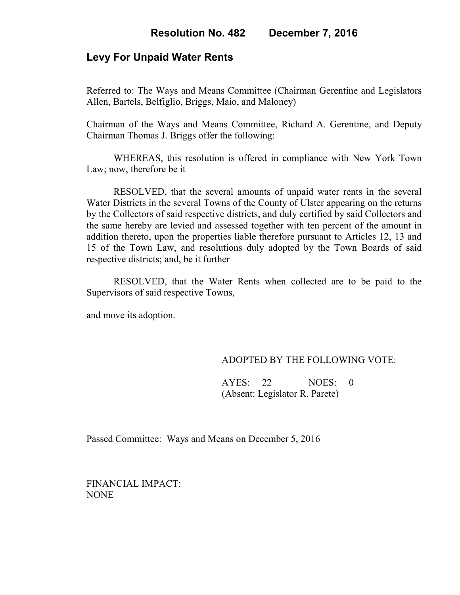## **Levy For Unpaid Water Rents**

Referred to: The Ways and Means Committee (Chairman Gerentine and Legislators Allen, Bartels, Belfiglio, Briggs, Maio, and Maloney)

Chairman of the Ways and Means Committee, Richard A. Gerentine, and Deputy Chairman Thomas J. Briggs offer the following:

WHEREAS, this resolution is offered in compliance with New York Town Law; now, therefore be it

RESOLVED, that the several amounts of unpaid water rents in the several Water Districts in the several Towns of the County of Ulster appearing on the returns by the Collectors of said respective districts, and duly certified by said Collectors and the same hereby are levied and assessed together with ten percent of the amount in addition thereto, upon the properties liable therefore pursuant to Articles 12, 13 and 15 of the Town Law, and resolutions duly adopted by the Town Boards of said respective districts; and, be it further

RESOLVED, that the Water Rents when collected are to be paid to the Supervisors of said respective Towns,

and move its adoption.

### ADOPTED BY THE FOLLOWING VOTE:

AYES: 22 NOES: 0 (Absent: Legislator R. Parete)

Passed Committee: Ways and Means on December 5, 2016

FINANCIAL IMPACT: NONE